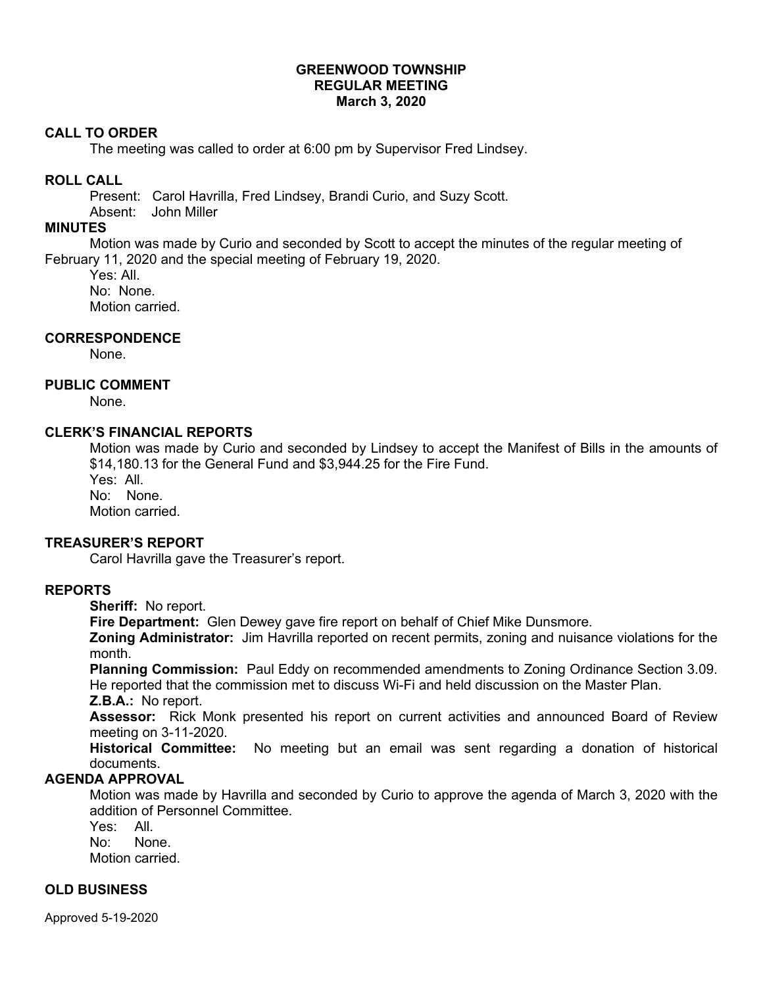# **GREENWOOD TOWNSHIP REGULAR MEETING March 3, 2020**

## **CALL TO ORDER**

The meeting was called to order at 6:00 pm by Supervisor Fred Lindsey.

# **ROLL CALL**

Present: Carol Havrilla, Fred Lindsey, Brandi Curio, and Suzy Scott.

Absent: John Miller

# **MINUTES**

Motion was made by Curio and seconded by Scott to accept the minutes of the regular meeting of February 11, 2020 and the special meeting of February 19, 2020.

Yes: All. No: None. Motion carried.

# **CORRESPONDENCE**

None.

# **PUBLIC COMMENT**

None.

# **CLERK'S FINANCIAL REPORTS**

Motion was made by Curio and seconded by Lindsey to accept the Manifest of Bills in the amounts of \$14,180.13 for the General Fund and \$3,944.25 for the Fire Fund.

Yes: All. No: None.

Motion carried.

## **TREASURER'S REPORT**

Carol Havrilla gave the Treasurer's report.

# **REPORTS**

**Sheriff:** No report.

**Fire Department:** Glen Dewey gave fire report on behalf of Chief Mike Dunsmore.

**Zoning Administrator:** Jim Havrilla reported on recent permits, zoning and nuisance violations for the month.

**Planning Commission:** Paul Eddy on recommended amendments to Zoning Ordinance Section 3.09. He reported that the commission met to discuss Wi-Fi and held discussion on the Master Plan. **Z.B.A.:** No report.

**Assessor:** Rick Monk presented his report on current activities and announced Board of Review meeting on 3-11-2020.

**Historical Committee:** No meeting but an email was sent regarding a donation of historical documents.

# **AGENDA APPROVAL**

Motion was made by Havrilla and seconded by Curio to approve the agenda of March 3, 2020 with the addition of Personnel Committee.

Yes: All. No: None. Motion carried.

**OLD BUSINESS** 

Approved 5-19-2020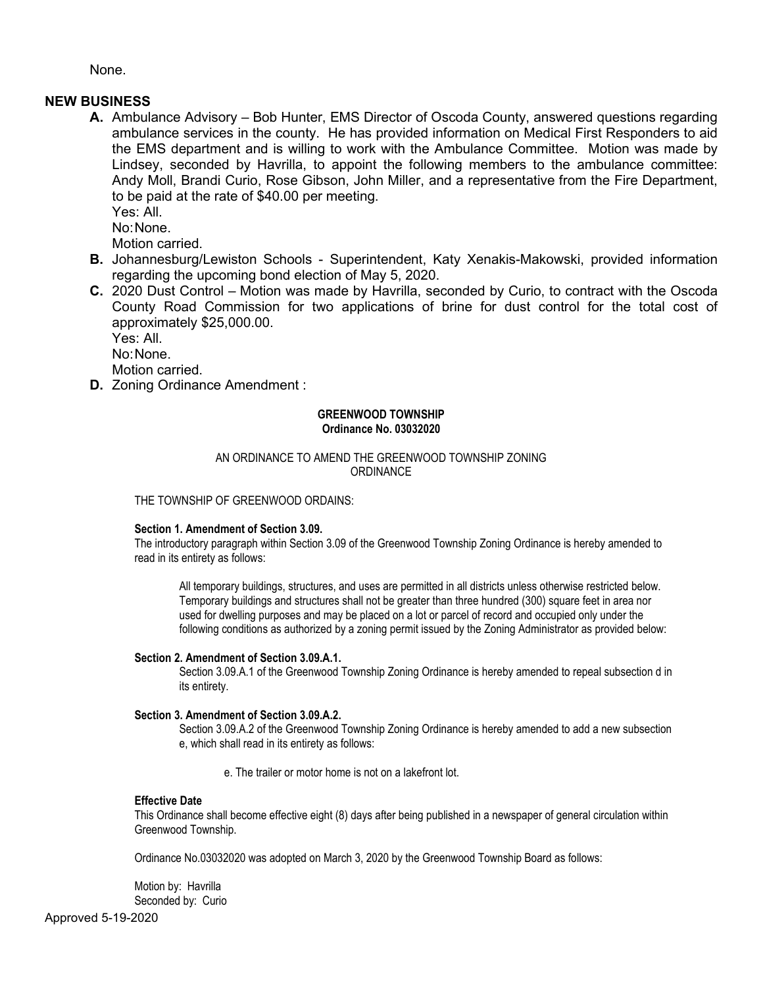None.

## **NEW BUSINESS**

**A.** Ambulance Advisory – Bob Hunter, EMS Director of Oscoda County, answered questions regarding ambulance services in the county. He has provided information on Medical First Responders to aid the EMS department and is willing to work with the Ambulance Committee. Motion was made by Lindsey, seconded by Havrilla, to appoint the following members to the ambulance committee: Andy Moll, Brandi Curio, Rose Gibson, John Miller, and a representative from the Fire Department, to be paid at the rate of \$40.00 per meeting.

Yes: All.

No: None.

Motion carried.

- **B.** Johannesburg/Lewiston Schools Superintendent, Katy Xenakis-Makowski, provided information regarding the upcoming bond election of May 5, 2020.
- **C.** 2020 Dust Control Motion was made by Havrilla, seconded by Curio, to contract with the Oscoda County Road Commission for two applications of brine for dust control for the total cost of approximately \$25,000.00.

Yes: All.

No: None.

Motion carried.

**D.** Zoning Ordinance Amendment :

## **GREENWOOD TOWNSHIP Ordinance No. 03032020**

### AN ORDINANCE TO AMEND THE GREENWOOD TOWNSHIP ZONING **ORDINANCE**

THE TOWNSHIP OF GREENWOOD ORDAINS:

### **Section 1. Amendment of Section 3.09.**

The introductory paragraph within Section 3.09 of the Greenwood Township Zoning Ordinance is hereby amended to read in its entirety as follows:

All temporary buildings, structures, and uses are permitted in all districts unless otherwise restricted below. Temporary buildings and structures shall not be greater than three hundred (300) square feet in area nor used for dwelling purposes and may be placed on a lot or parcel of record and occupied only under the following conditions as authorized by a zoning permit issued by the Zoning Administrator as provided below:

### **Section 2. Amendment of Section 3.09.A.1.**

Section 3.09.A.1 of the Greenwood Township Zoning Ordinance is hereby amended to repeal subsection d in its entirety.

### **Section 3. Amendment of Section 3.09.A.2.**

Section 3.09.A.2 of the Greenwood Township Zoning Ordinance is hereby amended to add a new subsection e, which shall read in its entirety as follows:

e. The trailer or motor home is not on a lakefront lot.

### **Effective Date**

This Ordinance shall become effective eight (8) days after being published in a newspaper of general circulation within Greenwood Township.

Ordinance No.03032020 was adopted on March 3, 2020 by the Greenwood Township Board as follows:

Motion by: Havrilla Seconded by: Curio

Approved 5-19-2020